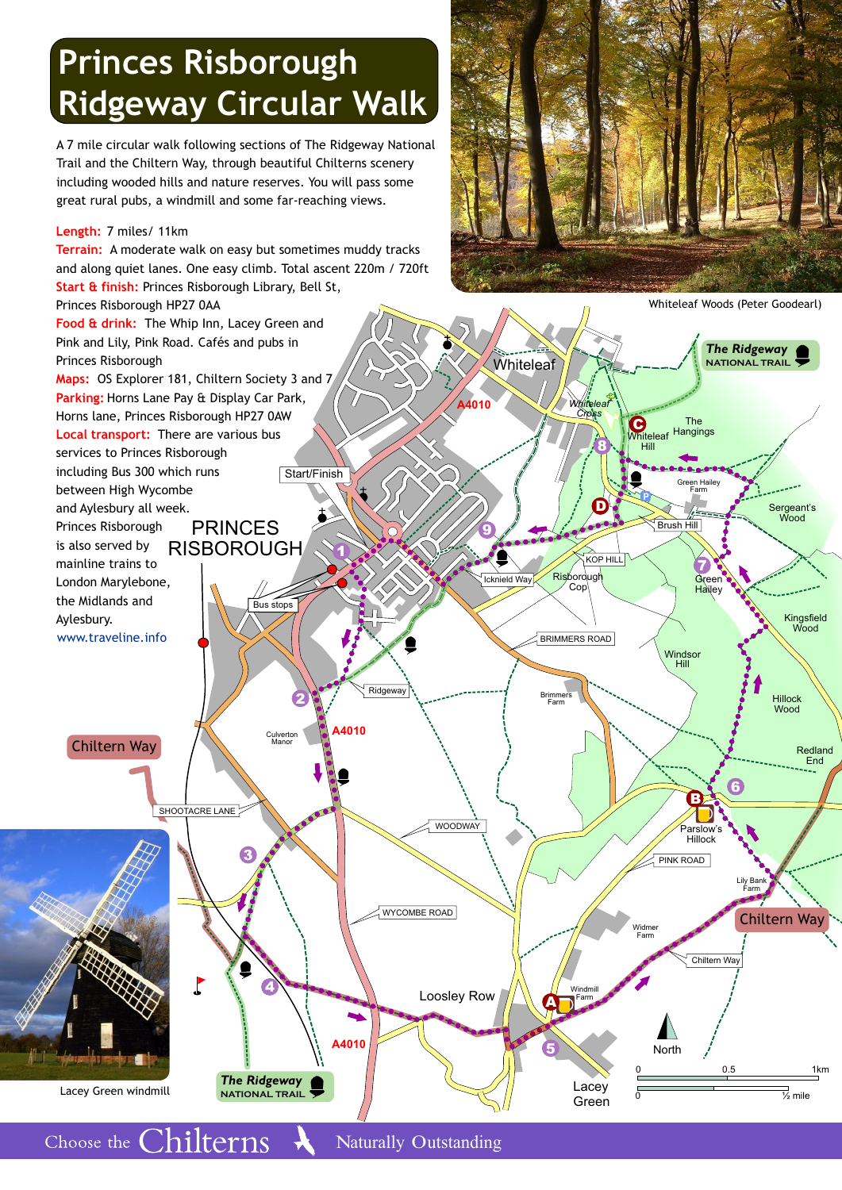# **Princes Risborough Ridgeway Circular Walk**

A 7 mile circular walk following sections of The Ridgeway National Trail and the Chiltern Way, through beautiful Chilterns scenery including wooded hills and nature reserves. You will pass some great rural pubs, a windmill and some far-reaching views.

#### **Length:** 7 miles/ 11km

Choose the Chilterns



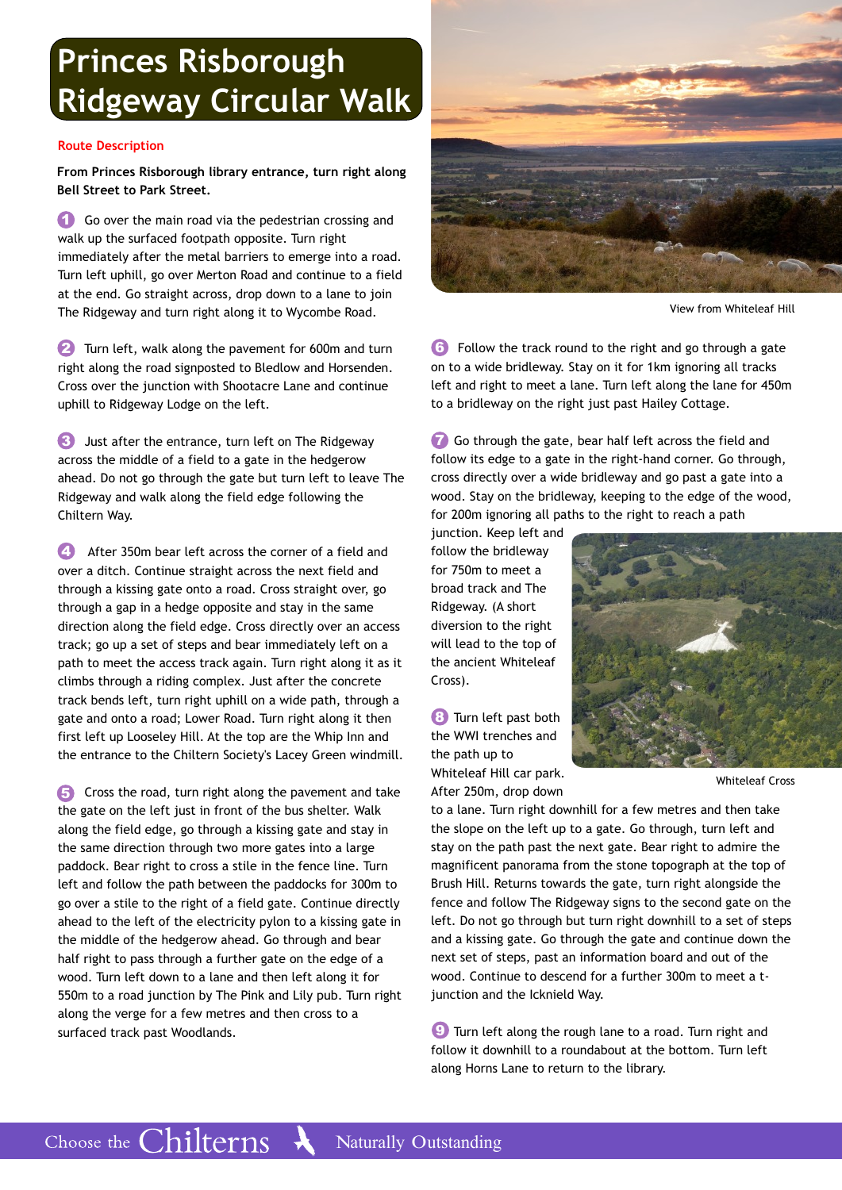## **Princes Risborough Ridgeway Circular Walk**

#### **Route Description**

**From Princes Risborough library entrance, turn right along Bell Street to Park Street.** 

**1** Go over the main road via the pedestrian crossing and walk up the surfaced footpath opposite. Turn right immediately after the metal barriers to emerge into a road. Turn left uphill, go over Merton Road and continue to a field at the end. Go straight across, drop down to a lane to join The Ridgeway and turn right along it to Wycombe Road.

**2** Turn left, walk along the pavement for 600m and turn right along the road signposted to Bledlow and Horsenden. Cross over the junction with Shootacre Lane and continue uphill to Ridgeway Lodge on the left.

 Just after the entrance, turn left on The Ridgeway **3** across the middle of a field to a gate in the hedgerow ahead. Do not go through the gate but turn left to leave The Ridgeway and walk along the field edge following the Chiltern Way.

 After 350m bear left across the corner of a field and over a ditch. Continue straight across the next field and through a kissing gate onto a road. Cross straight over, go through a gap in a hedge opposite and stay in the same direction along the field edge. Cross directly over an access track; go up a set of steps and bear immediately left on a path to meet the access track again. Turn right along it as it climbs through a riding complex. Just after the concrete track bends left, turn right uphill on a wide path, through a gate and onto a road; Lower Road. Turn right along it then first left up Looseley Hill. At the top are the Whip Inn and the entrance to the Chiltern Society's Lacey Green windmill. **4**

 Cross the road, turn right along the pavement and take the gate on the left just in front of the bus shelter. Walk along the field edge, go through a kissing gate and stay in the same direction through two more gates into a large paddock. Bear right to cross a stile in the fence line. Turn left and follow the path between the paddocks for 300m to go over a stile to the right of a field gate. Continue directly ahead to the left of the electricity pylon to a kissing gate in the middle of the hedgerow ahead. Go through and bear half right to pass through a further gate on the edge of a wood. Turn left down to a lane and then left along it for 550m to a road junction by The Pink and Lily pub. Turn right along the verge for a few metres and then cross to a surfaced track past Woodlands. **5**



View from Whiteleaf Hill

 Follow the track round to the right and go through a gate **6** on to a wide bridleway. Stay on it for 1km ignoring all tracks left and right to meet a lane. Turn left along the lane for 450m to a bridleway on the right just past Hailey Cottage.

**7** Go through the gate, bear half left across the field and follow its edge to a gate in the right-hand corner. Go through, cross directly over a wide bridleway and go past a gate into a wood. Stay on the bridleway, keeping to the edge of the wood, for 200m ignoring all paths to the right to reach a path

junction. Keep left and follow the bridleway for 750m to meet a broad track and The Ridgeway. (A short diversion to the right will lead to the top of the ancient Whiteleaf Cross).

**8** Turn left past both the WWI trenches and the path up to

Whiteleaf Hill car park. After 250m, drop down



Whiteleaf Cross

to a lane. Turn right downhill for a few metres and then take the slope on the left up to a gate. Go through, turn left and stay on the path past the next gate. Bear right to admire the magnificent panorama from the stone topograph at the top of Brush Hill. Returns towards the gate, turn right alongside the fence and follow The Ridgeway signs to the second gate on the left. Do not go through but turn right downhill to a set of steps and a kissing gate. Go through the gate and continue down the next set of steps, past an information board and out of the wood. Continue to descend for a further 300m to meet a tjunction and the Icknield Way.

 Turn left along the rough lane to a road. Turn right and **9** follow it downhill to a roundabout at the bottom. Turn left along Horns Lane to return to the library.